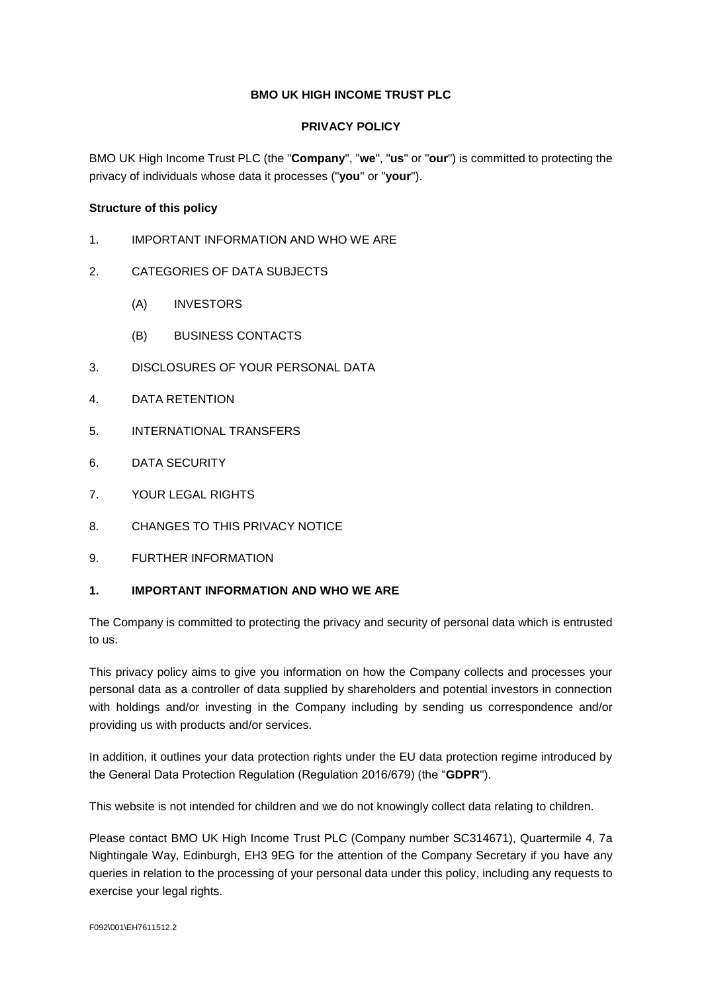# **BMO UK HIGH INCOME TRUST PLC**

### **PRIVACY POLICY**

BMO UK High Income Trust PLC (the "**Company**", "**we**", "**us**" or "**our**") is committed to protecting the privacy of individuals whose data it processes ("**you**" or "**your**").

### **Structure of this policy**

- 1. IMPORTANT INFORMATION AND WHO WE ARE
- 2. CATEGORIES OF DATA SUBJECTS
	- (A) INVESTORS
	- (B) BUSINESS CONTACTS
- 3. DISCLOSURES OF YOUR PERSONAL DATA
- 4. DATA RETENTION
- 5. INTERNATIONAL TRANSFERS
- 6. DATA SECURITY
- 7. YOUR LEGAL RIGHTS
- 8. CHANGES TO THIS PRIVACY NOTICE
- 9. FURTHER INFORMATION

### **1. IMPORTANT INFORMATION AND WHO WE ARE**

The Company is committed to protecting the privacy and security of personal data which is entrusted to us.

This privacy policy aims to give you information on how the Company collects and processes your personal data as a controller of data supplied by shareholders and potential investors in connection with holdings and/or investing in the Company including by sending us correspondence and/or providing us with products and/or services.

In addition, it outlines your data protection rights under the EU data protection regime introduced by the General Data Protection Regulation (Regulation 2016/679) (the "**GDPR**").

This website is not intended for children and we do not knowingly collect data relating to children.

Please contact BMO UK High Income Trust PLC (Company number SC314671), Quartermile 4, 7a Nightingale Way, Edinburgh, EH3 9EG for the attention of the Company Secretary if you have any queries in relation to the processing of your personal data under this policy, including any requests to exercise your legal rights.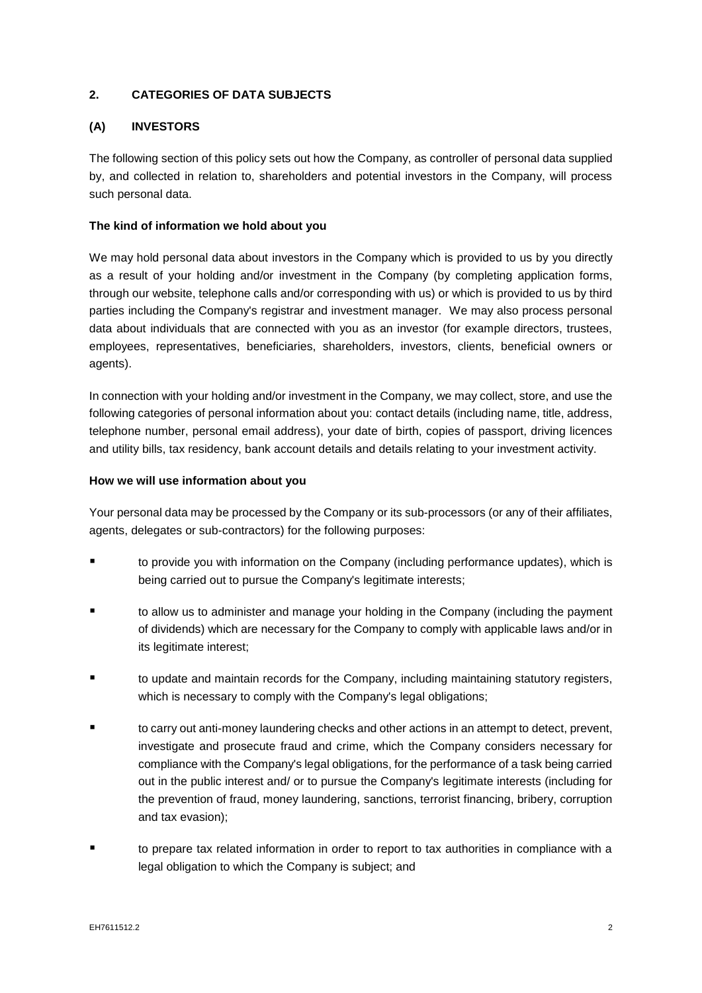# **2. CATEGORIES OF DATA SUBJECTS**

# **(A) INVESTORS**

The following section of this policy sets out how the Company, as controller of personal data supplied by, and collected in relation to, shareholders and potential investors in the Company, will process such personal data.

# **The kind of information we hold about you**

We may hold personal data about investors in the Company which is provided to us by you directly as a result of your holding and/or investment in the Company (by completing application forms, through our website, telephone calls and/or corresponding with us) or which is provided to us by third parties including the Company's registrar and investment manager. We may also process personal data about individuals that are connected with you as an investor (for example directors, trustees, employees, representatives, beneficiaries, shareholders, investors, clients, beneficial owners or agents).

In connection with your holding and/or investment in the Company, we may collect, store, and use the following categories of personal information about you: contact details (including name, title, address, telephone number, personal email address), your date of birth, copies of passport, driving licences and utility bills, tax residency, bank account details and details relating to your investment activity.

### **How we will use information about you**

Your personal data may be processed by the Company or its sub-processors (or any of their affiliates, agents, delegates or sub-contractors) for the following purposes:

- to provide you with information on the Company (including performance updates), which is being carried out to pursue the Company's legitimate interests;
- to allow us to administer and manage your holding in the Company (including the payment of dividends) which are necessary for the Company to comply with applicable laws and/or in its legitimate interest:
- to update and maintain records for the Company, including maintaining statutory registers, which is necessary to comply with the Company's legal obligations;
- to carry out anti-money laundering checks and other actions in an attempt to detect, prevent, investigate and prosecute fraud and crime, which the Company considers necessary for compliance with the Company's legal obligations, for the performance of a task being carried out in the public interest and/ or to pursue the Company's legitimate interests (including for the prevention of fraud, money laundering, sanctions, terrorist financing, bribery, corruption and tax evasion);
- to prepare tax related information in order to report to tax authorities in compliance with a legal obligation to which the Company is subject; and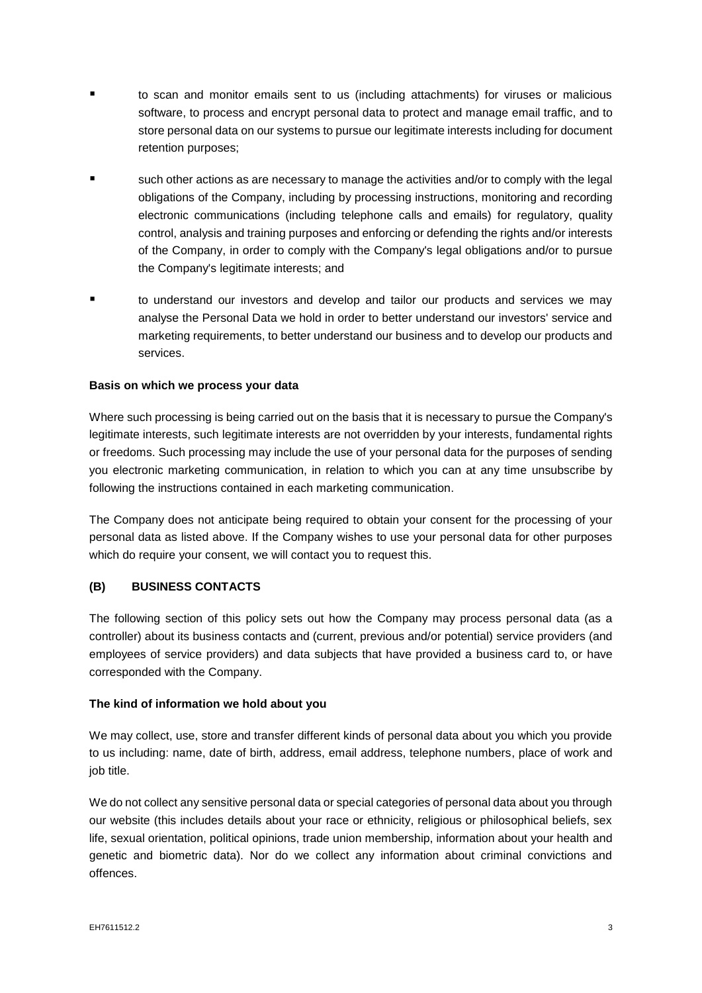- to scan and monitor emails sent to us (including attachments) for viruses or malicious software, to process and encrypt personal data to protect and manage email traffic, and to store personal data on our systems to pursue our legitimate interests including for document retention purposes;
- such other actions as are necessary to manage the activities and/or to comply with the legal obligations of the Company, including by processing instructions, monitoring and recording electronic communications (including telephone calls and emails) for regulatory, quality control, analysis and training purposes and enforcing or defending the rights and/or interests of the Company, in order to comply with the Company's legal obligations and/or to pursue the Company's legitimate interests; and
- to understand our investors and develop and tailor our products and services we may analyse the Personal Data we hold in order to better understand our investors' service and marketing requirements, to better understand our business and to develop our products and services.

#### **Basis on which we process your data**

Where such processing is being carried out on the basis that it is necessary to pursue the Company's legitimate interests, such legitimate interests are not overridden by your interests, fundamental rights or freedoms. Such processing may include the use of your personal data for the purposes of sending you electronic marketing communication, in relation to which you can at any time unsubscribe by following the instructions contained in each marketing communication.

The Company does not anticipate being required to obtain your consent for the processing of your personal data as listed above. If the Company wishes to use your personal data for other purposes which do require your consent, we will contact you to request this.

# **(B) BUSINESS CONTACTS**

The following section of this policy sets out how the Company may process personal data (as a controller) about its business contacts and (current, previous and/or potential) service providers (and employees of service providers) and data subjects that have provided a business card to, or have corresponded with the Company.

#### **The kind of information we hold about you**

We may collect, use, store and transfer different kinds of personal data about you which you provide to us including: name, date of birth, address, email address, telephone numbers, place of work and job title.

We do not collect any sensitive personal data or special categories of personal data about you through our website (this includes details about your race or ethnicity, religious or philosophical beliefs, sex life, sexual orientation, political opinions, trade union membership, information about your health and genetic and biometric data). Nor do we collect any information about criminal convictions and offences.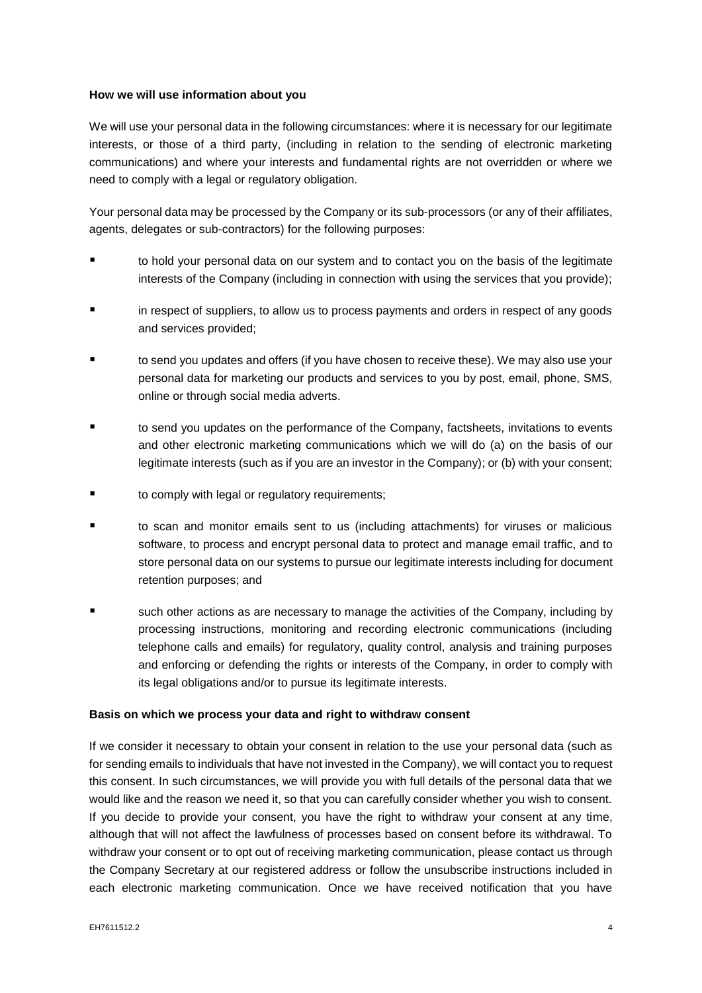#### **How we will use information about you**

We will use your personal data in the following circumstances: where it is necessary for our legitimate interests, or those of a third party, (including in relation to the sending of electronic marketing communications) and where your interests and fundamental rights are not overridden or where we need to comply with a legal or regulatory obligation.

Your personal data may be processed by the Company or its sub-processors (or any of their affiliates, agents, delegates or sub-contractors) for the following purposes:

- to hold your personal data on our system and to contact you on the basis of the legitimate interests of the Company (including in connection with using the services that you provide);
- in respect of suppliers, to allow us to process payments and orders in respect of any goods and services provided;
- to send you updates and offers (if you have chosen to receive these). We may also use your personal data for marketing our products and services to you by post, email, phone, SMS, online or through social media adverts.
- to send you updates on the performance of the Company, factsheets, invitations to events and other electronic marketing communications which we will do (a) on the basis of our legitimate interests (such as if you are an investor in the Company); or (b) with your consent;
- to comply with legal or regulatory requirements;
- to scan and monitor emails sent to us (including attachments) for viruses or malicious software, to process and encrypt personal data to protect and manage email traffic, and to store personal data on our systems to pursue our legitimate interests including for document retention purposes; and
- such other actions as are necessary to manage the activities of the Company, including by processing instructions, monitoring and recording electronic communications (including telephone calls and emails) for regulatory, quality control, analysis and training purposes and enforcing or defending the rights or interests of the Company, in order to comply with its legal obligations and/or to pursue its legitimate interests.

#### **Basis on which we process your data and right to withdraw consent**

If we consider it necessary to obtain your consent in relation to the use your personal data (such as for sending emails to individuals that have not invested in the Company), we will contact you to request this consent. In such circumstances, we will provide you with full details of the personal data that we would like and the reason we need it, so that you can carefully consider whether you wish to consent. If you decide to provide your consent, you have the right to withdraw your consent at any time, although that will not affect the lawfulness of processes based on consent before its withdrawal. To withdraw your consent or to opt out of receiving marketing communication, please contact us through the Company Secretary at our registered address or follow the unsubscribe instructions included in each electronic marketing communication. Once we have received notification that you have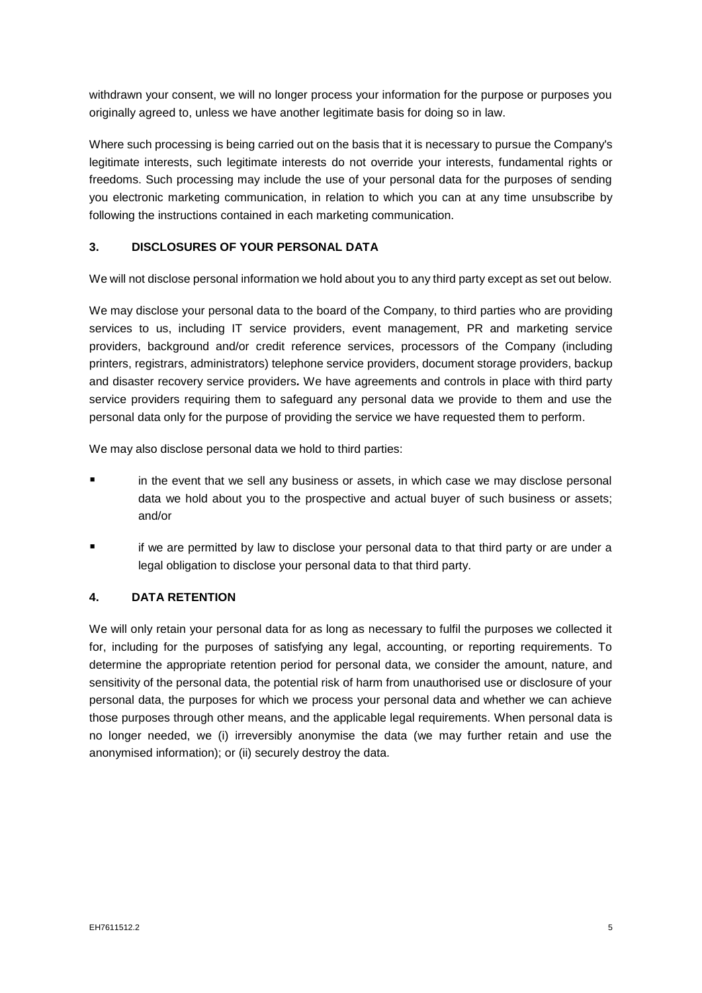withdrawn your consent, we will no longer process your information for the purpose or purposes you originally agreed to, unless we have another legitimate basis for doing so in law.

Where such processing is being carried out on the basis that it is necessary to pursue the Company's legitimate interests, such legitimate interests do not override your interests, fundamental rights or freedoms. Such processing may include the use of your personal data for the purposes of sending you electronic marketing communication, in relation to which you can at any time unsubscribe by following the instructions contained in each marketing communication.

# **3. DISCLOSURES OF YOUR PERSONAL DATA**

We will not disclose personal information we hold about you to any third party except as set out below.

We may disclose your personal data to the board of the Company, to third parties who are providing services to us, including IT service providers, event management, PR and marketing service providers, background and/or credit reference services, processors of the Company (including printers, registrars, administrators) telephone service providers, document storage providers, backup and disaster recovery service providers*.* We have agreements and controls in place with third party service providers requiring them to safeguard any personal data we provide to them and use the personal data only for the purpose of providing the service we have requested them to perform.

We may also disclose personal data we hold to third parties:

- in the event that we sell any business or assets, in which case we may disclose personal data we hold about you to the prospective and actual buyer of such business or assets; and/or
- if we are permitted by law to disclose your personal data to that third party or are under a legal obligation to disclose your personal data to that third party.

### **4. DATA RETENTION**

We will only retain your personal data for as long as necessary to fulfil the purposes we collected it for, including for the purposes of satisfying any legal, accounting, or reporting requirements. To determine the appropriate retention period for personal data, we consider the amount, nature, and sensitivity of the personal data, the potential risk of harm from unauthorised use or disclosure of your personal data, the purposes for which we process your personal data and whether we can achieve those purposes through other means, and the applicable legal requirements. When personal data is no longer needed, we (i) irreversibly anonymise the data (we may further retain and use the anonymised information); or (ii) securely destroy the data.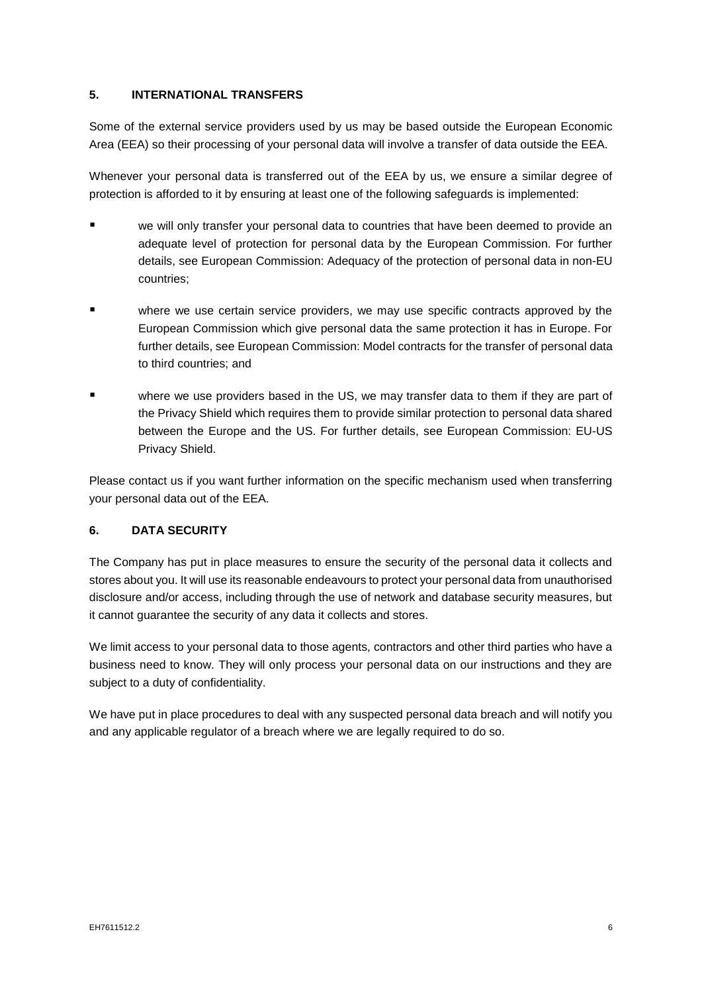# **5. INTERNATIONAL TRANSFERS**

Some of the external service providers used by us may be based outside the European Economic Area (EEA) so their processing of your personal data will involve a transfer of data outside the EEA.

Whenever your personal data is transferred out of the EEA by us, we ensure a similar degree of protection is afforded to it by ensuring at least one of the following safeguards is implemented:

- we will only transfer your personal data to countries that have been deemed to provide an adequate level of protection for personal data by the European Commission. For further details, see European Commission: Adequacy of the protection of personal data in non-EU countries;
- where we use certain service providers, we may use specific contracts approved by the European Commission which give personal data the same protection it has in Europe. For further details, see European Commission: Model contracts for the transfer of personal data to third countries; and
- where we use providers based in the US, we may transfer data to them if they are part of the Privacy Shield which requires them to provide similar protection to personal data shared between the Europe and the US. For further details, see European Commission: EU-US Privacy Shield.

Please contact us if you want further information on the specific mechanism used when transferring your personal data out of the EEA.

### **6. DATA SECURITY**

The Company has put in place measures to ensure the security of the personal data it collects and stores about you. It will use its reasonable endeavours to protect your personal data from unauthorised disclosure and/or access, including through the use of network and database security measures, but it cannot guarantee the security of any data it collects and stores.

We limit access to your personal data to those agents, contractors and other third parties who have a business need to know. They will only process your personal data on our instructions and they are subject to a duty of confidentiality.

We have put in place procedures to deal with any suspected personal data breach and will notify you and any applicable regulator of a breach where we are legally required to do so.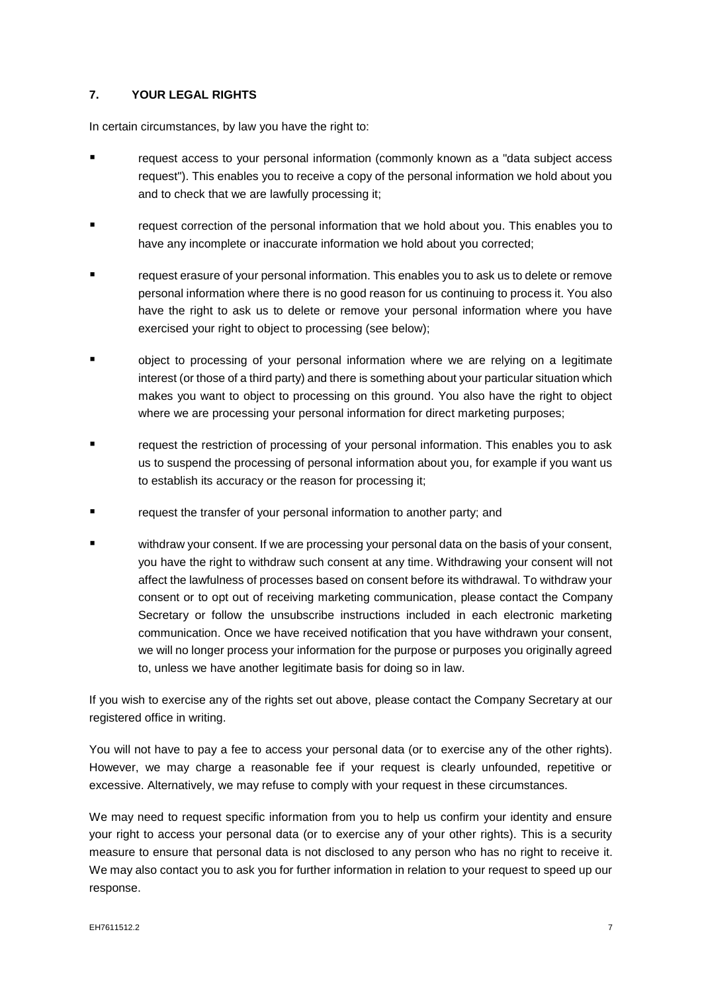# **7. YOUR LEGAL RIGHTS**

In certain circumstances, by law you have the right to:

- request access to your personal information (commonly known as a "data subject access request"). This enables you to receive a copy of the personal information we hold about you and to check that we are lawfully processing it;
- request correction of the personal information that we hold about you. This enables you to have any incomplete or inaccurate information we hold about you corrected;
- request erasure of your personal information. This enables you to ask us to delete or remove personal information where there is no good reason for us continuing to process it. You also have the right to ask us to delete or remove your personal information where you have exercised your right to object to processing (see below);
- object to processing of your personal information where we are relying on a legitimate interest (or those of a third party) and there is something about your particular situation which makes you want to object to processing on this ground. You also have the right to object where we are processing your personal information for direct marketing purposes;
- request the restriction of processing of your personal information. This enables you to ask us to suspend the processing of personal information about you, for example if you want us to establish its accuracy or the reason for processing it;
- request the transfer of your personal information to another party; and
- withdraw your consent. If we are processing your personal data on the basis of your consent, you have the right to withdraw such consent at any time. Withdrawing your consent will not affect the lawfulness of processes based on consent before its withdrawal. To withdraw your consent or to opt out of receiving marketing communication, please contact the Company Secretary or follow the unsubscribe instructions included in each electronic marketing communication. Once we have received notification that you have withdrawn your consent, we will no longer process your information for the purpose or purposes you originally agreed to, unless we have another legitimate basis for doing so in law.

If you wish to exercise any of the rights set out above, please contact the Company Secretary at our registered office in writing.

You will not have to pay a fee to access your personal data (or to exercise any of the other rights). However, we may charge a reasonable fee if your request is clearly unfounded, repetitive or excessive. Alternatively, we may refuse to comply with your request in these circumstances.

We may need to request specific information from you to help us confirm your identity and ensure your right to access your personal data (or to exercise any of your other rights). This is a security measure to ensure that personal data is not disclosed to any person who has no right to receive it. We may also contact you to ask you for further information in relation to your request to speed up our response.